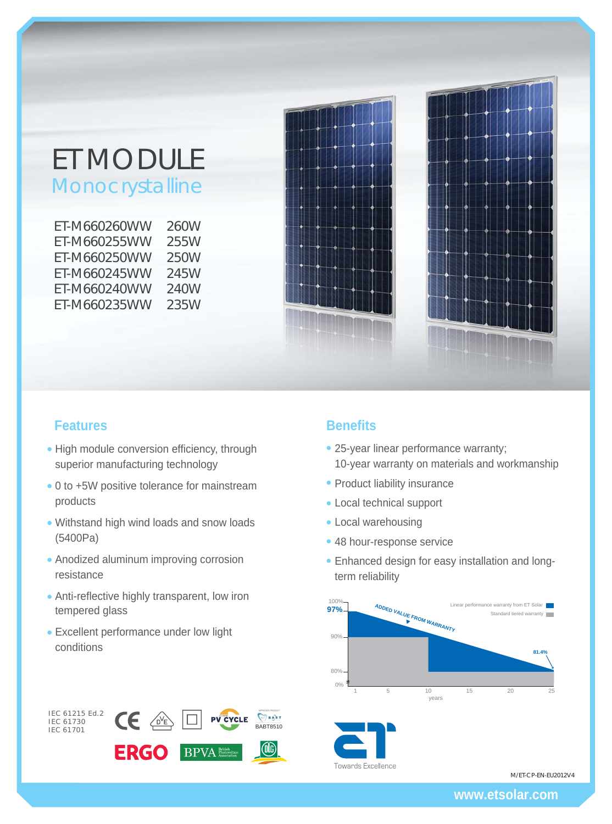# ET MODULE Monocrystalline

| ET-M660260WW | 260W |
|--------------|------|
| ET-M660255WW | 255W |
| ET-M660250WW | 250W |
| ET-M660245WW | 245W |
| ET-M660240WW | 240W |
| ET-M660235WW | 235W |
|              |      |





# **Features Benefits**

IEC 61215 Ed.2 IEC 61730 IEC 61701

- High module conversion efficiency, through superior manufacturing technology
- 0 to +5W positive tolerance for mainstream products
- Withstand high wind loads and snow loads (5400Pa)
- Anodized aluminum improving corrosion resistance
- Anti-reflective highly transparent, low iron tempered glass
- Excellent performance under low light conditions

**CE** 

**ERGO** 

 $\sqrt{D}V_E$ 

**BABT8510** 

OG)

 $\bigcirc$  a dex

**PV CYCLE** 

**BPVA** Photovo

- 25-year linear performance warranty; 10-year warranty on materials and workmanship
- Product liability insurance
- Local technical support
- Local warehousing
- 48 hour-response service
- Enhanced design for easy installation and longterm reliability



M/ET-CP-EN-EU2012V4